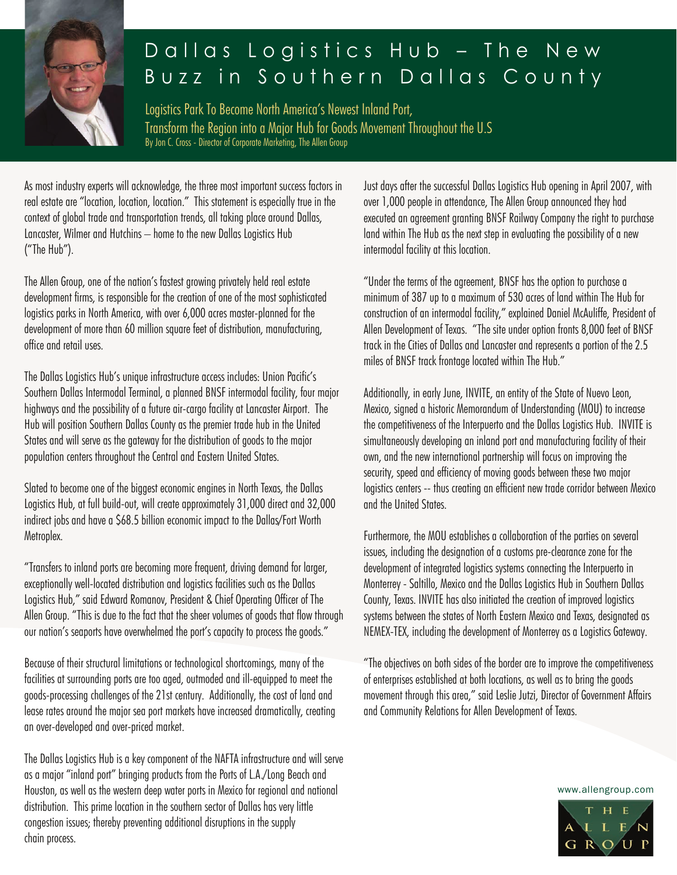

## Dallas Logistics Hub – The New Buzz in Southern Dallas County

Logistics Park To Become North America's Newest Inland Port, Transform the Region into a Major Hub for Goods Movement Throughout the U.S By Jon C. Cross - Director of Corporate Marketing, The Allen Group

As most industry experts will acknowledge, the three most important success factors in real estate are "location, location, location." This statement is especially true in the context of global trade and transportation trends, all taking place around Dallas, Lancaster, Wilmer and Hutchins – home to the new Dallas Logistics Hub ("The Hub").

The Allen Group, one of the nation's fastest growing privately held real estate development firms, is responsible for the creation of one of the most sophisticated logistics parks in North America, with over 6,000 acres master-planned for the development of more than 60 million square feet of distribution, manufacturing, office and retail uses.

The Dallas Logistics Hub's unique infrastructure access includes: Union Pacific's Southern Dallas Intermodal Terminal, a planned BNSF intermodal facility, four major highways and the possibility of a future air-cargo facility at Lancaster Airport. The Hub will position Southern Dallas County as the premier trade hub in the United States and will serve as the gateway for the distribution of goods to the major population centers throughout the Central and Eastern United States.

Slated to become one of the biggest economic engines in North Texas, the Dallas Logistics Hub, at full build-out, will create approximately 31,000 direct and 32,000 indirect jobs and have a \$68.5 billion economic impact to the Dallas/Fort Worth Metroplex.

"Transfers to inland ports are becoming more frequent, driving demand for larger, exceptionally well-located distribution and logistics facilities such as the Dallas Logistics Hub," said Edward Romanov, President & Chief Operating Officer of The Allen Group. "This is due to the fact that the sheer volumes of goods that flow through our nation's seaports have overwhelmed the port's capacity to process the goods."

Because of their structural limitations or technological shortcomings, many of the facilities at surrounding ports are too aged, outmoded and ill-equipped to meet the goods-processing challenges of the 21st century. Additionally, the cost of land and lease rates around the major sea port markets have increased dramatically, creating an over-developed and over-priced market.

The Dallas Logistics Hub is a key component of the NAFTA infrastructure and will serve as a major "inland port" bringing products from the Ports of L.A./Long Beach and Houston, as well as the western deep water ports in Mexico for regional and national distribution. This prime location in the southern sector of Dallas has very little congestion issues; thereby preventing additional disruptions in the supply chain process.

Just days after the successful Dallas Logistics Hub opening in April 2007, with over 1,000 people in attendance, The Allen Group announced they had executed an agreement granting BNSF Railway Company the right to purchase land within The Hub as the next step in evaluating the possibility of a new intermodal facility at this location.

"Under the terms of the agreement, BNSF has the option to purchase a minimum of 387 up to a maximum of 530 acres of land within The Hub for construction of an intermodal facility," explained Daniel McAuliffe, President of Allen Development of Texas. "The site under option fronts 8,000 feet of BNSF track in the Cities of Dallas and Lancaster and represents a portion of the 2.5 miles of BNSF track frontage located within The Hub."

Additionally, in early June, INVITE, an entity of the State of Nuevo Leon, Mexico, signed a historic Memorandum of Understanding (MOU) to increase the competitiveness of the Interpuerto and the Dallas Logistics Hub. INVITE is simultaneously developing an inland port and manufacturing facility of their own, and the new international partnership will focus on improving the security, speed and efficiency of moving goods between these two major logistics centers -- thus creating an efficient new trade corridor between Mexico and the United States.

Furthermore, the MOU establishes a collaboration of the parties on several issues, including the designation of a customs pre-clearance zone for the development of integrated logistics systems connecting the Interpuerto in Monterrey - Saltillo, Mexico and the Dallas Logistics Hub in Southern Dallas County, Texas. INVITE has also initiated the creation of improved logistics systems between the states of North Eastern Mexico and Texas, designated as NEMEX-TEX, including the development of Monterrey as a Logistics Gateway.

"The objectives on both sides of the border are to improve the competitiveness of enterprises established at both locations, as well as to bring the goods movement through this area," said Leslie Jutzi, Director of Government Affairs and Community Relations for Allen Development of Texas.

www.allengroup.com